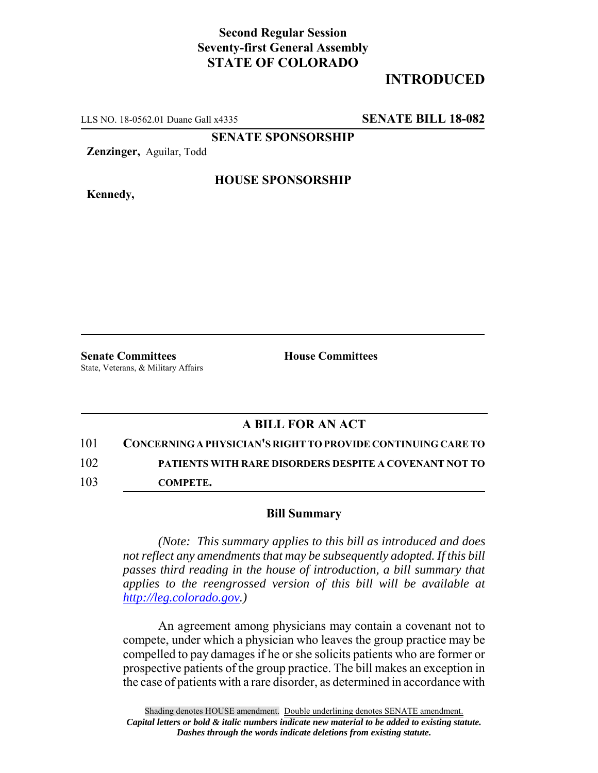## **Second Regular Session Seventy-first General Assembly STATE OF COLORADO**

# **INTRODUCED**

LLS NO. 18-0562.01 Duane Gall x4335 **SENATE BILL 18-082**

**SENATE SPONSORSHIP**

**Zenzinger,** Aguilar, Todd

**Kennedy,**

#### **HOUSE SPONSORSHIP**

**Senate Committees House Committees** State, Veterans, & Military Affairs

### **A BILL FOR AN ACT**

101 **CONCERNING A PHYSICIAN'S RIGHT TO PROVIDE CONTINUING CARE TO** 102 **PATIENTS WITH RARE DISORDERS DESPITE A COVENANT NOT TO**

103 **COMPETE.**

#### **Bill Summary**

*(Note: This summary applies to this bill as introduced and does not reflect any amendments that may be subsequently adopted. If this bill passes third reading in the house of introduction, a bill summary that applies to the reengrossed version of this bill will be available at http://leg.colorado.gov.)*

An agreement among physicians may contain a covenant not to compete, under which a physician who leaves the group practice may be compelled to pay damages if he or she solicits patients who are former or prospective patients of the group practice. The bill makes an exception in the case of patients with a rare disorder, as determined in accordance with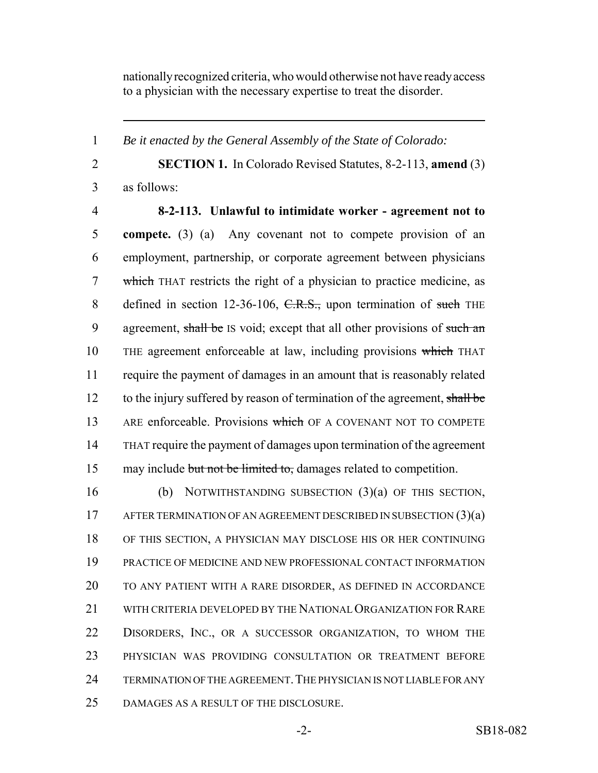nationally recognized criteria, who would otherwise not have ready access to a physician with the necessary expertise to treat the disorder.

*Be it enacted by the General Assembly of the State of Colorado:*

 **SECTION 1.** In Colorado Revised Statutes, 8-2-113, **amend** (3) as follows:

 **8-2-113. Unlawful to intimidate worker - agreement not to compete.** (3) (a) Any covenant not to compete provision of an employment, partnership, or corporate agreement between physicians which THAT restricts the right of a physician to practice medicine, as 8 defined in section 12-36-106, C.R.S., upon termination of such THE 9 agreement, shall be IS void; except that all other provisions of such an 10 THE agreement enforceable at law, including provisions which THAT require the payment of damages in an amount that is reasonably related 12 to the injury suffered by reason of termination of the agreement, shall be 13 ARE enforceable. Provisions which OF A COVENANT NOT TO COMPETE THAT require the payment of damages upon termination of the agreement 15 may include but not be limited to, damages related to competition.

 (b) NOTWITHSTANDING SUBSECTION (3)(a) OF THIS SECTION, 17 AFTER TERMINATION OF AN AGREEMENT DESCRIBED IN SUBSECTION (3)(a) OF THIS SECTION, A PHYSICIAN MAY DISCLOSE HIS OR HER CONTINUING PRACTICE OF MEDICINE AND NEW PROFESSIONAL CONTACT INFORMATION TO ANY PATIENT WITH A RARE DISORDER, AS DEFINED IN ACCORDANCE WITH CRITERIA DEVELOPED BY THE NATIONAL ORGANIZATION FOR RARE DISORDERS, INC., OR A SUCCESSOR ORGANIZATION, TO WHOM THE PHYSICIAN WAS PROVIDING CONSULTATION OR TREATMENT BEFORE 24 TERMINATION OF THE AGREEMENT. THE PHYSICIAN IS NOT LIABLE FOR ANY DAMAGES AS A RESULT OF THE DISCLOSURE.